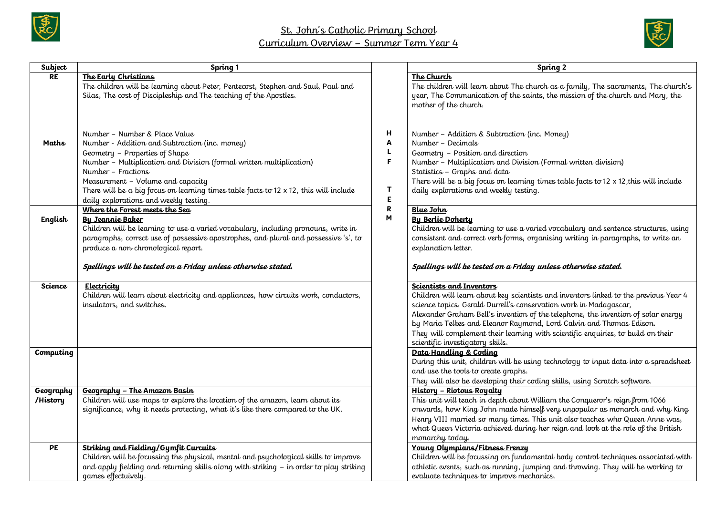



| Subject               | Spring 1                                                                                                                                                                                                                                                                                                                                                                                |                             | Spring 2                                                                                                                                                                                                                                                                                                                                                                                                                                                                  |
|-----------------------|-----------------------------------------------------------------------------------------------------------------------------------------------------------------------------------------------------------------------------------------------------------------------------------------------------------------------------------------------------------------------------------------|-----------------------------|---------------------------------------------------------------------------------------------------------------------------------------------------------------------------------------------------------------------------------------------------------------------------------------------------------------------------------------------------------------------------------------------------------------------------------------------------------------------------|
| <b>RE</b>             | The Early Christians<br>The children will be learning about Peter, Pentecost, Stephen and Saul, Paul and<br>Silas, The cost of Discipleship and The teaching of the Apostles.                                                                                                                                                                                                           |                             | The Church<br>The children will learn about The church as a family, The sacraments, The church's<br>year, The Communication of the saints, the mission of the church and Mary, the<br>mother of the church.                                                                                                                                                                                                                                                               |
| <b>Maths</b>          | Number - Number & Place Value<br>Number - Addition and Subtraction (inc. money)<br>Geometry - Properties of Shape<br>Number - Multiplication and Division (formal written multiplication)<br>Number – Fractions<br>Measurement - Volume and capacity<br>There will be a big focus on learning times table facts to 12 x 12, this will include<br>daily explorations and weekly testing. | н<br>A<br>L.<br>F<br>T<br>E | Number - Addition & Subtraction (inc. Money)<br>Number - Decimals<br>Geometry - Position and direction<br>Number - Multiplication and Division (Formal written division)<br>Statistics - Graphs and data<br>There will be a big focus on learning times table facts to $12 \times 12$ , this will include<br>daily explorations and weekly testing.                                                                                                                       |
| English               | Where the Forest meets the Sea<br><b>By Jeannie Baker</b><br>Children will be learning to use a varied vocabulary, including pronouns, write in<br>paragraphs, correct use of possessive apostrophes, and plural and possessive 's', to<br>produce a non-chronological report.<br>Spellings will be tested on a Friday unless otherwise stated.                                         | ${\bf R}$<br>M              | <b>Blue John</b><br><b>By Berlie Doherty</b><br>Children will be learning to use a varied vocabulary and sentence structures, using<br>consistent and correct verb forms, organising writing in paragraphs, to write an<br>explanation letter.<br>Spellings will be tested on a Friday unless otherwise stated.                                                                                                                                                           |
| Science               | Electricity<br>Children will learn about electricity and appliances, how circuits work, conductors,<br>insulators, and switches.                                                                                                                                                                                                                                                        |                             | Scientists and Inventors<br>Children will learn about key scientists and inventors linked to the previous Year 4<br>science topics. Gerald Durrell's conservation work in Madaqascar,<br>Alexander Graham Bell's invention of the telephone, the invention of solar energy<br>by Maria Telkes and Eleanor Raymond, Lord Calvin and Thomas Edison.<br>They will complement their learning with scientific enquiries, to build on their<br>scientific investigatory skills. |
| Computing             |                                                                                                                                                                                                                                                                                                                                                                                         |                             | Data Handling & Coding<br>During this unit, children will be using technology to input data into a spreadsheet<br>and use the tools to create graphs.<br>They will also be developing their coding skills, using Scratch software.                                                                                                                                                                                                                                        |
| Geography<br>/History | Geography - The Amazon Basin<br>Children will use maps to explore the location of the amazon, learn about its<br>significance, why it needs protecting, what it's like there compared to the UK.                                                                                                                                                                                        |                             | History - Riotous Royalty<br>This unit will teach in depth about William the Conqueror's reign from 1066<br>onwards, how King John made himself very unpopular as monarch and why King<br>Henry VIII married so many times. This unit also teaches who Queen Anne was,<br>what Queen Victoria achieved during her reign and look at the role of the British<br>monarchy today.                                                                                            |
| PE                    | Striking and Fielding/Gymfit Curcuits<br>Children will be focussing the physical, mental and psychological skills to improve<br>and apply fielding and returning skills along with striking - in order to play striking<br>games effectuively.                                                                                                                                          |                             | Young Olympians/Fitness Frenzy<br>Children will be focussing on fundamental body control techniques associated with<br>athletic events, such as running, jumping and throwing. They will be working to<br>evaluate techniques to improve mechanics.                                                                                                                                                                                                                       |